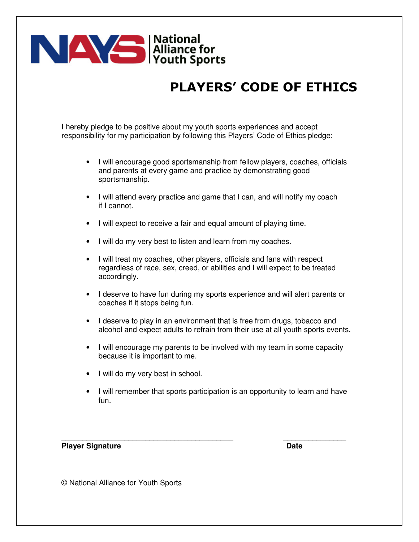

## PLAYERS' CODE OF ETHICS

**I** hereby pledge to be positive about my youth sports experiences and accept responsibility for my participation by following this Players' Code of Ethics pledge:

- **I** will encourage good sportsmanship from fellow players, coaches, officials and parents at every game and practice by demonstrating good sportsmanship.
- **I** will attend every practice and game that I can, and will notify my coach if I cannot.
- **I** will expect to receive a fair and equal amount of playing time.
- **I** will do my very best to listen and learn from my coaches.
- **I** will treat my coaches, other players, officials and fans with respect regardless of race, sex, creed, or abilities and I will expect to be treated accordingly.
- **I** deserve to have fun during my sports experience and will alert parents or coaches if it stops being fun.
- **I** deserve to play in an environment that is free from drugs, tobacco and alcohol and expect adults to refrain from their use at all youth sports events.
- **I** will encourage my parents to be involved with my team in some capacity because it is important to me.
- **I** will do my very best in school.
- **I** will remember that sports participation is an opportunity to learn and have fun.

\_\_\_\_\_\_\_\_\_\_\_\_\_\_\_\_\_\_\_\_\_\_\_\_\_\_\_\_\_\_\_\_\_\_\_\_\_\_\_\_\_ \_\_\_\_\_\_\_\_\_\_\_\_\_\_\_

**Player Signature Date 2018** 

© National Alliance for Youth Sports